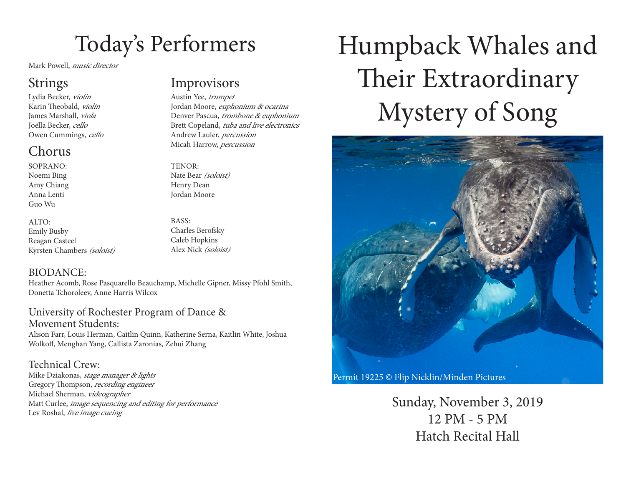## Today's Performers

Mark Powell, music director

Lydia Becker, violin Karin Theobald, *violin* James Marshall, viola Joëlla Becker, cello Owen Cummings, cello

### Chorus

SOPRANO: Noemi Bing Amy Chiang Anna Lenti

Guo Wu

ALTO: Emily Busby Reagan Casteel Kyrsten Chambers (soloist)

Strings Improvisors

Austin Yee, trumpet Jordan Moore, euphonium & ocarina Denver Pascua, trombone & euphonium Brett Copeland, tuba and live electronics Andrew Lauler, percussion Micah Harrow, *percussion* 

TENOR: Nate Bear (soloist) Henry Dean Jordan Moore

BASS: Charles Berofsky Caleb Hopkins Alex Nick (soloist)

### BIODANCE:

Heather Acomb, Rose Pasquarello Beauchamp, Michelle Gipner, Missy Pfohl Smith, Donetta Tchoroleev, Anne Harris Wilcox

University of Rochester Program of Dance & Movement Students: Alison Farr, Louis Herman, Caitlin Quinn, Katherine Serna, Kaitlin White, Joshua Wolkof, Menghan Yang, Callista Zaronias, Zehui Zhang

Technical Crew: Mike Dziakonas, stage manager & lights Gregory Thompson, *recording engineer* Michael Sherman, videographer Matt Curlee, image sequencing and editing for performance Lev Roshal, live image cueing

# Humpback Whales and Their Extraordinary Mystery of Song



Permit 19225 © Flip Nicklin/Minden Pictures

Sunday, November 3, 2019 12 PM - 5 PM Hatch Recital Hall